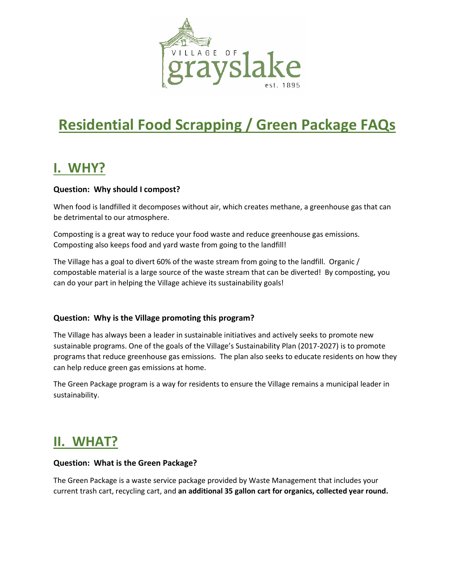

# **Residential Food Scrapping / Green Package FAQs**

# **I. WHY?**

### **Question: Why should I compost?**

When food is landfilled it decomposes without air, which creates methane, a greenhouse gas that can be detrimental to our atmosphere.

Composting is a great way to reduce your food waste and reduce greenhouse gas emissions. Composting also keeps food and yard waste from going to the landfill!

The Village has a goal to divert 60% of the waste stream from going to the landfill. Organic / compostable material is a large source of the waste stream that can be diverted! By composting, you can do your part in helping the Village achieve its sustainability goals!

#### **Question: Why is the Village promoting this program?**

The Village has always been a leader in sustainable initiatives and actively seeks to promote new sustainable programs. One of the goals of the Village's Sustainability Plan (2017-2027) is to promote programs that reduce greenhouse gas emissions. The plan also seeks to educate residents on how they can help reduce green gas emissions at home.

The Green Package program is a way for residents to ensure the Village remains a municipal leader in sustainability.

# **II. WHAT?**

#### **Question: What is the Green Package?**

The Green Package is a waste service package provided by Waste Management that includes your current trash cart, recycling cart, and **an additional 35 gallon cart for organics, collected year round.**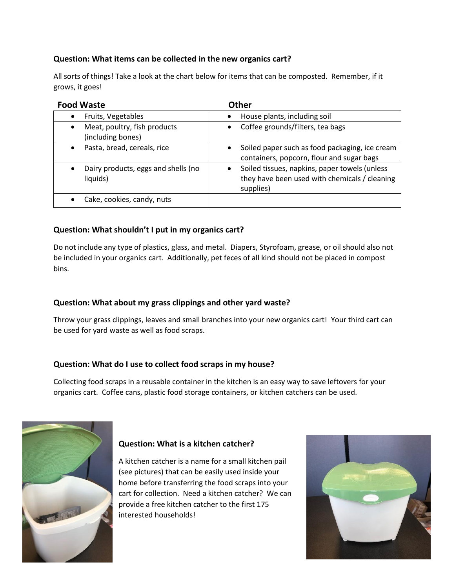### **Question: What items can be collected in the new organics cart?**

All sorts of things! Take a look at the chart below for items that can be composted. Remember, if it grows, it goes!

| <b>Food Waste</b>                                 | Other                                                                                                       |
|---------------------------------------------------|-------------------------------------------------------------------------------------------------------------|
| Fruits, Vegetables                                | House plants, including soil                                                                                |
| Meat, poultry, fish products<br>(including bones) | Coffee grounds/filters, tea bags                                                                            |
| Pasta, bread, cereals, rice                       | Soiled paper such as food packaging, ice cream<br>$\bullet$<br>containers, popcorn, flour and sugar bags    |
| Dairy products, eggs and shells (no<br>liquids)   | Soiled tissues, napkins, paper towels (unless<br>they have been used with chemicals / cleaning<br>supplies) |
| Cake, cookies, candy, nuts                        |                                                                                                             |

### **Question: What shouldn't I put in my organics cart?**

Do not include any type of plastics, glass, and metal. Diapers, Styrofoam, grease, or oil should also not be included in your organics cart. Additionally, pet feces of all kind should not be placed in compost bins.

#### **Question: What about my grass clippings and other yard waste?**

Throw your grass clippings, leaves and small branches into your new organics cart! Your third cart can be used for yard waste as well as food scraps.

#### **Question: What do I use to collect food scraps in my house?**

Collecting food scraps in a reusable container in the kitchen is an easy way to save leftovers for your organics cart. Coffee cans, plastic food storage containers, or kitchen catchers can be used.



### **Question: What is a kitchen catcher?**

A kitchen catcher is a name for a small kitchen pail (see pictures) that can be easily used inside your home before transferring the food scraps into your cart for collection. Need a kitchen catcher? We can provide a free kitchen catcher to the first 175 interested households!

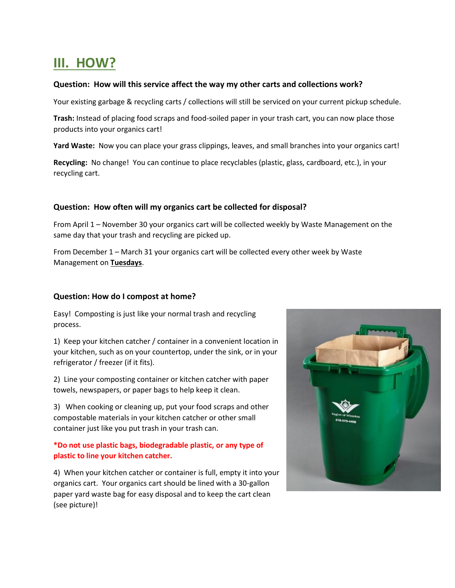# **III. HOW?**

#### **Question: How will this service affect the way my other carts and collections work?**

Your existing garbage & recycling carts / collections will still be serviced on your current pickup schedule.

**Trash:** Instead of placing food scraps and food-soiled paper in your trash cart, you can now place those products into your organics cart!

**Yard Waste:** Now you can place your grass clippings, leaves, and small branches into your organics cart!

**Recycling:** No change! You can continue to place recyclables (plastic, glass, cardboard, etc.), in your recycling cart.

#### **Question: How often will my organics cart be collected for disposal?**

From April 1 – November 30 your organics cart will be collected weekly by Waste Management on the same day that your trash and recycling are picked up.

From December 1 – March 31 your organics cart will be collected every other week by Waste Management on **Tuesdays**.

#### **Question: How do I compost at home?**

Easy! Composting is just like your normal trash and recycling process.

1) Keep your kitchen catcher / container in a convenient location in your kitchen, such as on your countertop, under the sink, or in your refrigerator / freezer (if it fits).

2) Line your composting container or kitchen catcher with paper towels, newspapers, or paper bags to help keep it clean.

3) When cooking or cleaning up, put your food scraps and other compostable materials in your kitchen catcher or other small container just like you put trash in your trash can.

#### **\*Do not use plastic bags, biodegradable plastic, or any type of plastic to line your kitchen catcher.**

4) When your kitchen catcher or container is full, empty it into your organics cart. Your organics cart should be lined with a 30-gallon paper yard waste bag for easy disposal and to keep the cart clean (see picture)!

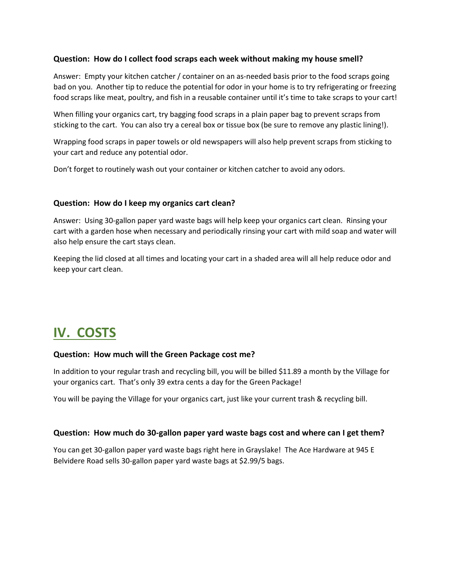#### **Question: How do I collect food scraps each week without making my house smell?**

Answer: Empty your kitchen catcher / container on an as-needed basis prior to the food scraps going bad on you. Another tip to reduce the potential for odor in your home is to try refrigerating or freezing food scraps like meat, poultry, and fish in a reusable container until it's time to take scraps to your cart!

When filling your organics cart, try bagging food scraps in a plain paper bag to prevent scraps from sticking to the cart. You can also try a cereal box or tissue box (be sure to remove any plastic lining!).

Wrapping food scraps in paper towels or old newspapers will also help prevent scraps from sticking to your cart and reduce any potential odor.

Don't forget to routinely wash out your container or kitchen catcher to avoid any odors.

#### **Question: How do I keep my organics cart clean?**

Answer: Using 30-gallon paper yard waste bags will help keep your organics cart clean. Rinsing your cart with a garden hose when necessary and periodically rinsing your cart with mild soap and water will also help ensure the cart stays clean.

Keeping the lid closed at all times and locating your cart in a shaded area will all help reduce odor and keep your cart clean.

# **IV. COSTS**

#### **Question: How much will the Green Package cost me?**

In addition to your regular trash and recycling bill, you will be billed \$11.89 a month by the Village for your organics cart. That's only 39 extra cents a day for the Green Package!

You will be paying the Village for your organics cart, just like your current trash & recycling bill.

#### **Question: How much do 30-gallon paper yard waste bags cost and where can I get them?**

You can get 30-gallon paper yard waste bags right here in Grayslake! The Ace Hardware at 945 E Belvidere Road sells 30-gallon paper yard waste bags at \$2.99/5 bags.